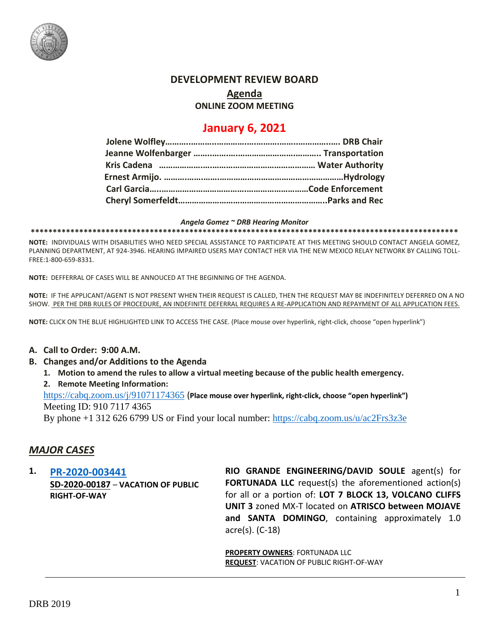

## **DEVELOPMENT REVIEW BOARD**

**Agenda**

**ONLINE ZOOM MEETING**

# **January 6, 2021**

#### *Angela Gomez ~ DRB Hearing Monitor*

**\*\*\*\*\*\*\*\*\*\*\*\*\*\*\*\*\*\*\*\*\*\*\*\*\*\*\*\*\*\*\*\*\*\*\*\*\*\*\*\*\*\*\*\*\*\*\*\*\*\*\*\*\*\*\*\*\*\*\*\*\*\*\*\*\*\*\*\*\*\*\*\*\*\*\*\*\*\*\*\*\*\*\*\*\*\*\*\*\*\*\*\*\*\*\*\*\***

**NOTE:** INDIVIDUALS WITH DISABILITIES WHO NEED SPECIAL ASSISTANCE TO PARTICIPATE AT THIS MEETING SHOULD CONTACT ANGELA GOMEZ, PLANNING DEPARTMENT, AT 924-3946. HEARING IMPAIRED USERS MAY CONTACT HER VIA THE NEW MEXICO RELAY NETWORK BY CALLING TOLL-FREE:1-800-659-8331.

**NOTE:** DEFFERRAL OF CASES WILL BE ANNOUCED AT THE BEGINNING OF THE AGENDA.

**NOTE:** IF THE APPLICANT/AGENT IS NOT PRESENT WHEN THEIR REQUEST IS CALLED, THEN THE REQUEST MAY BE INDEFINITELY DEFERRED ON A NO SHOW. PER THE DRB RULES OF PROCEDURE, AN INDEFINITE DEFERRAL REQUIRES A RE-APPLICATION AND REPAYMENT OF ALL APPLICATION FEES.

**NOTE:** CLICK ON THE BLUE HIGHLIGHTED LINK TO ACCESS THE CASE. (Place mouse over hyperlink, right-click, choose "open hyperlink")

### **A. Call to Order: 9:00 A.M.**

- **B. Changes and/or Additions to the Agenda**
	- **1. Motion to amend the rules to allow a virtual meeting because of the public health emergency.**

**2. Remote Meeting Information:**

<https://cabq.zoom.us/j/91071174365> (**Place mouse over hyperlink, right-click, choose "open hyperlink")** Meeting ID: 910 7117 4365

By phone +1 312 626 6799 US or Find your local number:<https://cabq.zoom.us/u/ac2Frs3z3e>

## *MAJOR CASES*

**1. [PR-2020-003441](http://data.cabq.gov/government/planning/DRB/PR-2020-003441/DRB%20Submittals/PR-2020-003441_Dec_16_2020/PR-2020-003441_Jan_6_2020.pdf) SD-2020-00187** – **VACATION OF PUBLIC RIGHT-OF-WAY**

**RIO GRANDE ENGINEERING/DAVID SOULE** agent(s) for **FORTUNADA LLC** request(s) the aforementioned action(s) for all or a portion of: **LOT 7 BLOCK 13, VOLCANO CLIFFS UNIT 3** zoned MX-T located on **ATRISCO between MOJAVE and SANTA DOMINGO**, containing approximately 1.0 acre(s). (C-18)

**PROPERTY OWNERS**: FORTUNADA LLC **REQUEST**: VACATION OF PUBLIC RIGHT-OF-WAY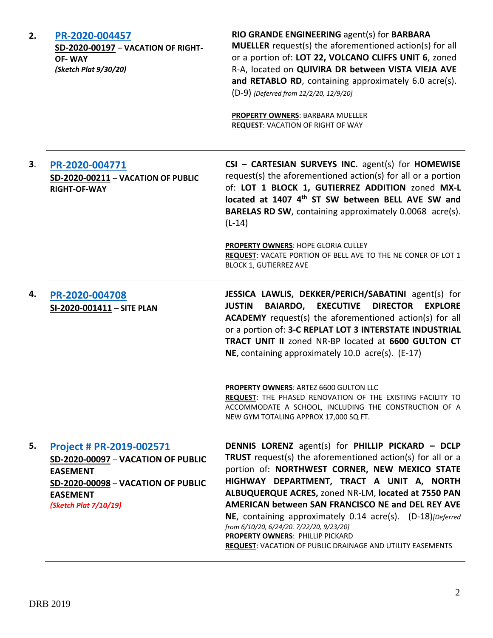| 2. | PR-2020-004457<br>SD-2020-00197 - VACATION OF RIGHT-<br><b>OF-WAY</b><br>(Sketch Plat 9/30/20)                                                                      | RIO GRANDE ENGINEERING agent(s) for BARBARA<br><b>MUELLER</b> request(s) the aforementioned action(s) for all<br>or a portion of: LOT 22, VOLCANO CLIFFS UNIT 6, zoned<br>R-A, located on QUIVIRA DR between VISTA VIEJA AVE<br>and RETABLO RD, containing approximately 6.0 acre(s).<br>(D-9) {Deferred from 12/2/20, 12/9/20]<br><b>PROPERTY OWNERS: BARBARA MUELLER</b><br><b>REQUEST: VACATION OF RIGHT OF WAY</b>                                                                                                                               |
|----|---------------------------------------------------------------------------------------------------------------------------------------------------------------------|------------------------------------------------------------------------------------------------------------------------------------------------------------------------------------------------------------------------------------------------------------------------------------------------------------------------------------------------------------------------------------------------------------------------------------------------------------------------------------------------------------------------------------------------------|
| 3. | PR-2020-004771<br>SD-2020-00211 - VACATION OF PUBLIC<br><b>RIGHT-OF-WAY</b>                                                                                         | CSI - CARTESIAN SURVEYS INC. agent(s) for HOMEWISE<br>request(s) the aforementioned action(s) for all or a portion<br>of: LOT 1 BLOCK 1, GUTIERREZ ADDITION zoned MX-L<br>located at 1407 4th ST SW between BELL AVE SW and<br><b>BARELAS RD SW, containing approximately 0.0068 acre(s).</b><br>$(L-14)$                                                                                                                                                                                                                                            |
|    |                                                                                                                                                                     | PROPERTY OWNERS: HOPE GLORIA CULLEY<br>REQUEST: VACATE PORTION OF BELL AVE TO THE NE CONER OF LOT 1<br><b>BLOCK 1, GUTIERREZ AVE</b>                                                                                                                                                                                                                                                                                                                                                                                                                 |
| 4. | PR-2020-004708<br>SI-2020-001411 - SITE PLAN                                                                                                                        | JESSICA LAWLIS, DEKKER/PERICH/SABATINI agent(s) for<br><b>BAIARDO,</b><br><b>EXECUTIVE</b><br><b>DIRECTOR</b><br><b>EXPLORE</b><br><b>JUSTIN</b><br>ACADEMY request(s) the aforementioned action(s) for all<br>or a portion of: 3-C REPLAT LOT 3 INTERSTATE INDUSTRIAL<br>TRACT UNIT II zoned NR-BP located at 6600 GULTON CT<br>NE, containing approximately 10.0 acre(s). (E-17)                                                                                                                                                                   |
|    |                                                                                                                                                                     | PROPERTY OWNERS: ARTEZ 6600 GULTON LLC<br>REQUEST: THE PHASED RENOVATION OF THE EXISTING FACILITY TO<br>ACCOMMODATE A SCHOOL, INCLUDING THE CONSTRUCTION OF A<br>NEW GYM TOTALING APPROX 17,000 SQ FT.                                                                                                                                                                                                                                                                                                                                               |
| 5. | Project # PR-2019-002571<br>SD-2020-00097 - VACATION OF PUBLIC<br><b>EASEMENT</b><br>SD-2020-00098 - VACATION OF PUBLIC<br><b>EASEMENT</b><br>(Sketch Plat 7/10/19) | <b>DENNIS LORENZ</b> agent(s) for PHILLIP PICKARD - DCLP<br><b>TRUST</b> request(s) the aforementioned action(s) for all or a<br>portion of: NORTHWEST CORNER, NEW MEXICO STATE<br>HIGHWAY DEPARTMENT, TRACT A UNIT A, NORTH<br>ALBUQUERQUE ACRES, zoned NR-LM, located at 7550 PAN<br>AMERICAN between SAN FRANCISCO NE and DEL REY AVE<br>NE, containing approximately 0.14 acre(s). (D-18)[Deferred<br>from 6/10/20, 6/24/20. 7/22/20, 9/23/20]<br>PROPERTY OWNERS: PHILLIP PICKARD<br>REQUEST: VACATION OF PUBLIC DRAINAGE AND UTILITY EASEMENTS |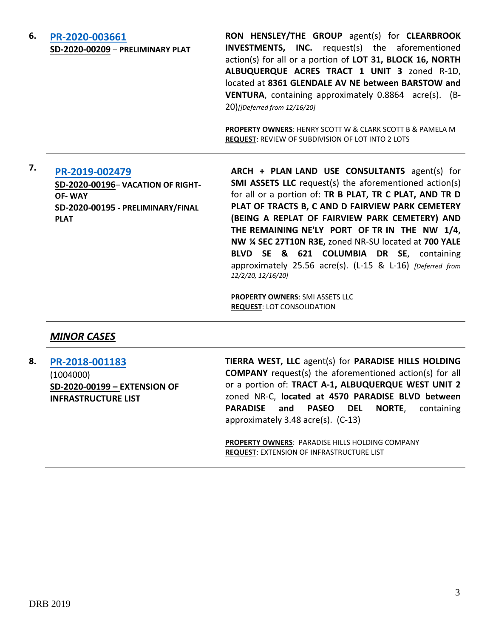## **6. [PR-2020-003661](http://data.cabq.gov/government/planning/DRB/PR-2020-003661/DRB%20Submittals/)**

**SD-2020-00209** – **PRELIMINARY PLAT**

**RON HENSLEY/THE GROUP** agent(s) for **CLEARBROOK INVESTMENTS, INC.** request(s) the aforementioned action(s) for all or a portion of **LOT 31, BLOCK 16, NORTH ALBUQUERQUE ACRES TRACT 1 UNIT 3** zoned R-1D, located at **8361 GLENDALE AV NE between BARSTOW and VENTURA**, containing approximately 0.8864 acre(s). (B-20)*[]Deferred from 12/16/20]*

**PROPERTY OWNERS**: HENRY SCOTT W & CLARK SCOTT B & PAMELA M **REQUEST**: REVIEW OF SUBDIVISION OF LOT INTO 2 LOTS

# **7. [PR-2019-002479](http://data.cabq.gov/government/planning/DRB/PR-2019-002479/DRB%20Submittals/)**

**SD-2020-00196**– **VACATION OF RIGHT-OF- WAY SD-2020-00195 - PRELIMINARY/FINAL PLAT**

**ARCH + PLAN LAND USE CONSULTANTS** agent(s) for **SMI ASSETS LLC** request(s) the aforementioned action(s) for all or a portion of: **TR B PLAT, TR C PLAT, AND TR D PLAT OF TRACTS B, C AND D FAIRVIEW PARK CEMETERY (BEING A REPLAT OF FAIRVIEW PARK CEMETERY) AND THE REMAINING NE'LY PORT OF TR IN THE NW 1/4, NW ¼ SEC 27T10N R3E,** zoned NR-SU located at **700 YALE BLVD SE & 621 COLUMBIA DR SE**, containing approximately 25.56 acre(s). (L-15 & L-16) *[Deferred from 12/2/20, 12/16/20]*

**PROPERTY OWNERS**: SMI ASSETS LLC **REQUEST**: LOT CONSOLIDATION

### *MINOR CASES*

**8. [PR-2018-001183](http://data.cabq.gov/government/planning/DRB/PR-2018-001183/DRB%20Submittals/PR-2018-001183__Jan_6_2021/Application/DRB%20EIIA%20TIERRA%20WEST%20PR-2018-001183%20SD-2020-00199%20signed%20copy.pdf)** (1004000) **SD-2020-00199 – EXTENSION OF INFRASTRUCTURE LIST**

**TIERRA WEST, LLC** agent(s) for **PARADISE HILLS HOLDING COMPANY** request(s) the aforementioned action(s) for all or a portion of: **TRACT A-1, ALBUQUERQUE WEST UNIT 2**  zoned NR-C, **located at 4570 PARADISE BLVD between PARADISE and PASEO DEL NORTE**, containing approximately 3.48 acre(s). (C-13)

**PROPERTY OWNERS**: PARADISE HILLS HOLDING COMPANY **REQUEST**: EXTENSION OF INFRASTRUCTURE LIST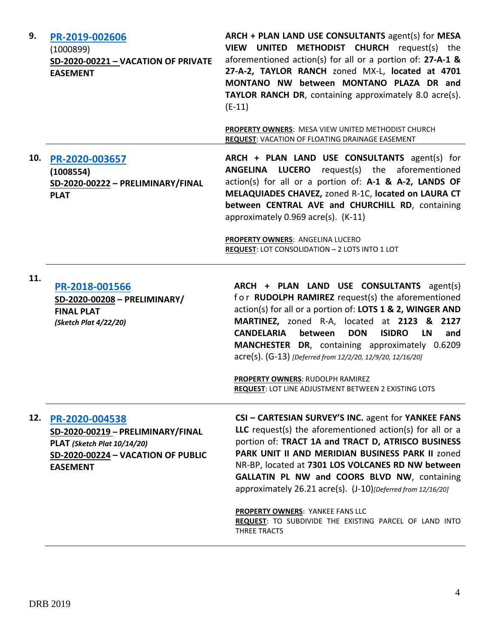| 9.  | PR-2019-002606<br>(1000899)<br>SD-2020-00221 - VACATION OF PRIVATE<br><b>EASEMENT</b>                                                       | ARCH + PLAN LAND USE CONSULTANTS agent(s) for MESA<br>VIEW UNITED METHODIST CHURCH request(s) the<br>aforementioned action(s) for all or a portion of: 27-A-1 &<br>27-A-2, TAYLOR RANCH zoned MX-L, located at 4701<br>MONTANO NW between MONTANO PLAZA DR and<br><b>TAYLOR RANCH DR, containing approximately 8.0 acre(s).</b><br>$(E-11)$<br>PROPERTY OWNERS: MESA VIEW UNITED METHODIST CHURCH                                                                                                                       |
|-----|---------------------------------------------------------------------------------------------------------------------------------------------|-------------------------------------------------------------------------------------------------------------------------------------------------------------------------------------------------------------------------------------------------------------------------------------------------------------------------------------------------------------------------------------------------------------------------------------------------------------------------------------------------------------------------|
| 10. | PR-2020-003657<br>(1008554)<br>SD-2020-00222 - PRELIMINARY/FINAL<br><b>PLAT</b>                                                             | <b>REQUEST: VACATION OF FLOATING DRAINAGE EASEMENT</b><br>ARCH + PLAN LAND USE CONSULTANTS agent(s) for<br>ANGELINA LUCERO<br>request(s) the aforementioned<br>action(s) for all or a portion of: A-1 & A-2, LANDS OF<br>MELAQUIADES CHAVEZ, zoned R-1C, located on LAURA CT<br>between CENTRAL AVE and CHURCHILL RD, containing<br>approximately 0.969 acre(s). (K-11)                                                                                                                                                 |
|     |                                                                                                                                             | PROPERTY OWNERS: ANGELINA LUCERO<br>REQUEST: LOT CONSOLIDATION - 2 LOTS INTO 1 LOT                                                                                                                                                                                                                                                                                                                                                                                                                                      |
| 11. | PR-2018-001566<br>SD-2020-00208 - PRELIMINARY/<br><b>FINAL PLAT</b><br>(Sketch Plat 4/22/20)                                                | ARCH + PLAN LAND USE CONSULTANTS agent(s)<br>for RUDOLPH RAMIREZ request(s) the aforementioned<br>action(s) for all or a portion of: LOTS 1 & 2, WINGER AND<br>MARTINEZ, zoned R-A, located at 2123 & 2127<br><b>CANDELARIA</b><br>between<br><b>DON</b><br><b>ISIDRO</b><br><b>LN</b><br>and<br>MANCHESTER DR, containing approximately 0.6209<br>acre(s). (G-13) [Deferred from 12/2/20, 12/9/20, 12/16/20]<br><b>PROPERTY OWNERS: RUDOLPH RAMIREZ</b><br><b>REQUEST: LOT LINE ADJUSTMENT BETWEEN 2 EXISTING LOTS</b> |
| 12. | PR-2020-004538<br>SD-2020-00219 - PRELIMINARY/FINAL<br>PLAT (Sketch Plat 10/14/20)<br>SD-2020-00224 - VACATION OF PUBLIC<br><b>EASEMENT</b> | CSI - CARTESIAN SURVEY'S INC. agent for YANKEE FANS<br>LLC request(s) the aforementioned action(s) for all or a<br>portion of: TRACT 1A and TRACT D, ATRISCO BUSINESS<br>PARK UNIT II AND MERIDIAN BUSINESS PARK II zoned<br>NR-BP, located at 7301 LOS VOLCANES RD NW between<br>GALLATIN PL NW and COORS BLVD NW, containing<br>approximately 26.21 acre(s). (J-10)[Deferred from 12/16/20]<br><b>PROPERTY OWNERS: YANKEE FANS LLC</b><br>REQUEST: TO SUBDIVIDE THE EXISTING PARCEL OF LAND INTO<br>THREE TRACTS      |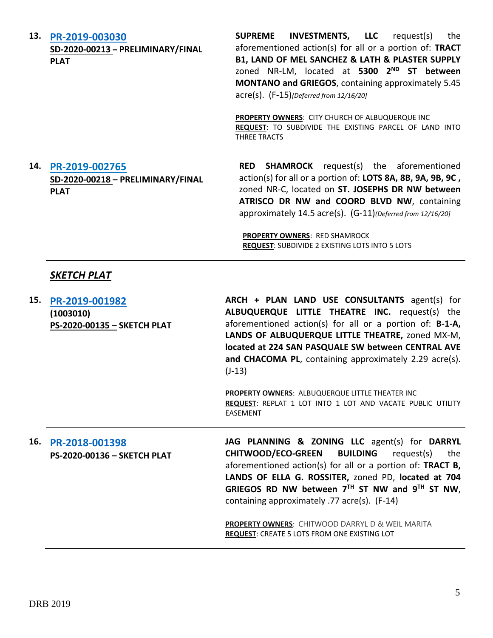| 13. | PR-2019-003030<br>SD-2020-00213 - PRELIMINARY/FINAL<br><b>PLAT</b> | <b>INVESTMENTS, LLC</b><br><b>SUPREME</b><br>request(s)<br>the<br>aforementioned action(s) for all or a portion of: TRACT<br>B1, LAND OF MEL SANCHEZ & LATH & PLASTER SUPPLY<br>zoned NR-LM, located at 5300 2 <sup>ND</sup> ST between<br>MONTANO and GRIEGOS, containing approximately 5.45<br>acre(s). (F-15){Deferred from 12/16/20]<br>PROPERTY OWNERS: CITY CHURCH OF ALBUQUERQUE INC<br>REQUEST: TO SUBDIVIDE THE EXISTING PARCEL OF LAND INTO<br>THREE TRACTS |
|-----|--------------------------------------------------------------------|-----------------------------------------------------------------------------------------------------------------------------------------------------------------------------------------------------------------------------------------------------------------------------------------------------------------------------------------------------------------------------------------------------------------------------------------------------------------------|
| 14. | PR-2019-002765<br>SD-2020-00218 - PRELIMINARY/FINAL<br><b>PLAT</b> | <b>SHAMROCK</b> request(s) the aforementioned<br><b>RED</b><br>action(s) for all or a portion of: LOTS 8A, 8B, 9A, 9B, 9C,<br>zoned NR-C, located on ST. JOSEPHS DR NW between<br>ATRISCO DR NW and COORD BLVD NW, containing<br>approximately 14.5 acre(s). (G-11)(Deferred from 12/16/20]<br><b>PROPERTY OWNERS: RED SHAMROCK</b><br>REQUEST: SUBDIVIDE 2 EXISTING LOTS INTO 5 LOTS                                                                                 |
|     | SKETCH PLAT                                                        |                                                                                                                                                                                                                                                                                                                                                                                                                                                                       |
| 15. | PR-2019-001982<br>(1003010)<br>PS-2020-00135 - SKETCH PLAT         | ARCH + PLAN LAND USE CONSULTANTS agent(s) for<br>ALBUQUERQUE LITTLE THEATRE INC. request(s) the<br>aforementioned action(s) for all or a portion of: B-1-A,<br>LANDS OF ALBUQUERQUE LITTLE THEATRE, zoned MX-M,<br>located at 224 SAN PASQUALE SW between CENTRAL AVE<br>and CHACOMA PL, containing approximately 2.29 acre(s).<br>$(J-13)$                                                                                                                           |
|     |                                                                    | PROPERTY OWNERS: ALBUQUERQUE LITTLE THEATER INC<br>REQUEST: REPLAT 1 LOT INTO 1 LOT AND VACATE PUBLIC UTILITY<br><b>EASEMENT</b>                                                                                                                                                                                                                                                                                                                                      |
| 16. | PR-2018-001398<br>PS-2020-00136 - SKETCH PLAT                      | JAG PLANNING & ZONING LLC agent(s) for DARRYL<br><b>CHITWOOD/ECO-GREEN</b><br><b>BUILDING</b><br>request(s)<br>the<br>aforementioned action(s) for all or a portion of: TRACT B,<br>LANDS OF ELLA G. ROSSITER, zoned PD, located at 704<br>GRIEGOS RD NW between $7TH$ ST NW and $9TH$ ST NW,<br>containing approximately .77 acre(s). (F-14)                                                                                                                         |
|     |                                                                    | <b>PROPERTY OWNERS: CHITWOOD DARRYL D &amp; WEIL MARITA</b><br>REQUEST: CREATE 5 LOTS FROM ONE EXISTING LOT                                                                                                                                                                                                                                                                                                                                                           |